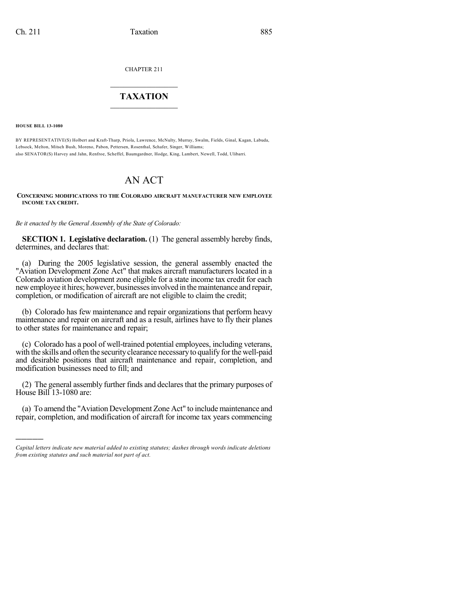CHAPTER 211

## $\overline{\phantom{a}}$  . The set of the set of the set of the set of the set of the set of the set of the set of the set of the set of the set of the set of the set of the set of the set of the set of the set of the set of the set o **TAXATION**  $\_$

**HOUSE BILL 13-1080**

)))))

BY REPRESENTATIVE(S) Holbert and Kraft-Tharp, Priola, Lawrence, McNulty, Murray, Swalm, Fields, Ginal, Kagan, Labuda, Lebsock, Melton, Mitsch Bush, Moreno, Pabon, Pettersen, Rosenthal, Schafer, Singer, Williams; also SENATOR(S) Harvey and Jahn, Renfroe, Scheffel, Baumgardner, Hodge, King, Lambert, Newell, Todd, Ulibarri.

## AN ACT

## **CONCERNING MODIFICATIONS TO THE COLORADO AIRCRAFT MANUFACTURER NEW EMPLOYEE INCOME TAX CREDIT.**

*Be it enacted by the General Assembly of the State of Colorado:*

**SECTION 1. Legislative declaration.** (1) The general assembly hereby finds, determines, and declares that:

(a) During the 2005 legislative session, the general assembly enacted the "Aviation Development Zone Act" that makes aircraft manufacturers located in a Colorado aviation development zone eligible for a state income tax credit for each new employee it hires; however, businesses involved in the maintenance and repair, completion, or modification of aircraft are not eligible to claim the credit;

(b) Colorado has few maintenance and repair organizations that perform heavy maintenance and repair on aircraft and as a result, airlines have to fly their planes to other states for maintenance and repair;

(c) Colorado has a pool of well-trained potential employees, including veterans, with the skills and often the security clearance necessary to qualify for the well-paid and desirable positions that aircraft maintenance and repair, completion, and modification businesses need to fill; and

(2) The general assembly further finds and declares that the primary purposes of House Bill 13-1080 are:

(a) To amend the "Aviation Development Zone Act" to include maintenance and repair, completion, and modification of aircraft for income tax years commencing

*Capital letters indicate new material added to existing statutes; dashes through words indicate deletions from existing statutes and such material not part of act.*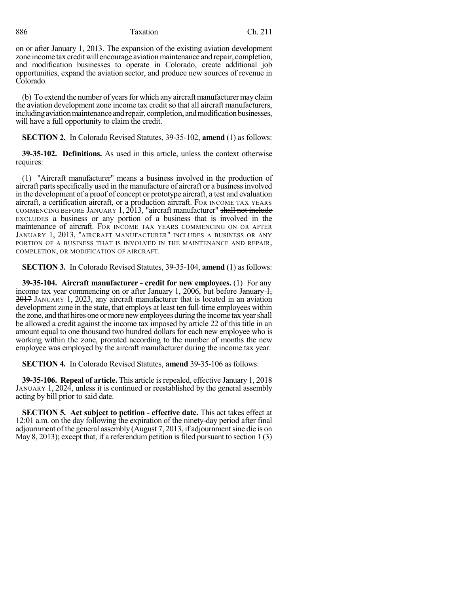886 Taxation Ch. 211

on or after January 1, 2013. The expansion of the existing aviation development zone income tax credit will encourage aviation maintenance and repair, completion, and modification businesses to operate in Colorado, create additional job opportunities, expand the aviation sector, and produce new sources of revenue in Colorado.

(b) To extend the number of years for which any aircraft manufacturer may claim the aviation development zone income tax credit so that all aircraft manufacturers, including aviation maintenance and repair, completion, and modification businesses, will have a full opportunity to claim the credit.

**SECTION 2.** In Colorado Revised Statutes, 39-35-102, **amend** (1) as follows:

**39-35-102. Definitions.** As used in this article, unless the context otherwise requires:

(1) "Aircraft manufacturer" means a business involved in the production of aircraft parts specifically used in the manufacture of aircraft or a business involved in the development of a proof of concept or prototype aircraft, a test and evaluation aircraft, a certification aircraft, or a production aircraft. FOR INCOME TAX YEARS COMMENCING BEFORE JANUARY 1, 2013, "aircraft manufacturer" shall not include EXCLUDES a business or any portion of a business that is involved in the maintenance of aircraft. FOR INCOME TAX YEARS COMMENCING ON OR AFTER JANUARY 1, 2013, "AIRCRAFT MANUFACTURER" INCLUDES A BUSINESS OR ANY PORTION OF A BUSINESS THAT IS INVOLVED IN THE MAINTENANCE AND REPAIR, COMPLETION, OR MODIFICATION OF AIRCRAFT.

**SECTION 3.** In Colorado Revised Statutes, 39-35-104, **amend** (1) as follows:

**39-35-104. Aircraft manufacturer - credit for new employees.** (1) For any income tax year commencing on or after January 1, 2006, but before January 1, 2017 JANUARY 1, 2023, any aircraft manufacturer that is located in an aviation development zone in the state, that employs at least ten full-time employees within the zone, and that hires one ormore newemployees during the income tax yearshall be allowed a credit against the income tax imposed by article 22 of this title in an amount equal to one thousand two hundred dollars for each new employee who is working within the zone, prorated according to the number of months the new employee was employed by the aircraft manufacturer during the income tax year.

**SECTION 4.** In Colorado Revised Statutes, **amend** 39-35-106 as follows:

**39-35-106. Repeal of article.** This article isrepealed, effective January 1, 2018 JANUARY 1, 2024, unless it is continued or reestablished by the general assembly acting by bill prior to said date.

**SECTION 5. Act subject to petition - effective date.** This act takes effect at 12:01 a.m. on the day following the expiration of the ninety-day period after final adjournment of the general assembly (August 7, 2013, if adjournmentsine die is on May 8, 2013); except that, if a referendum petition is filed pursuant to section 1 (3)